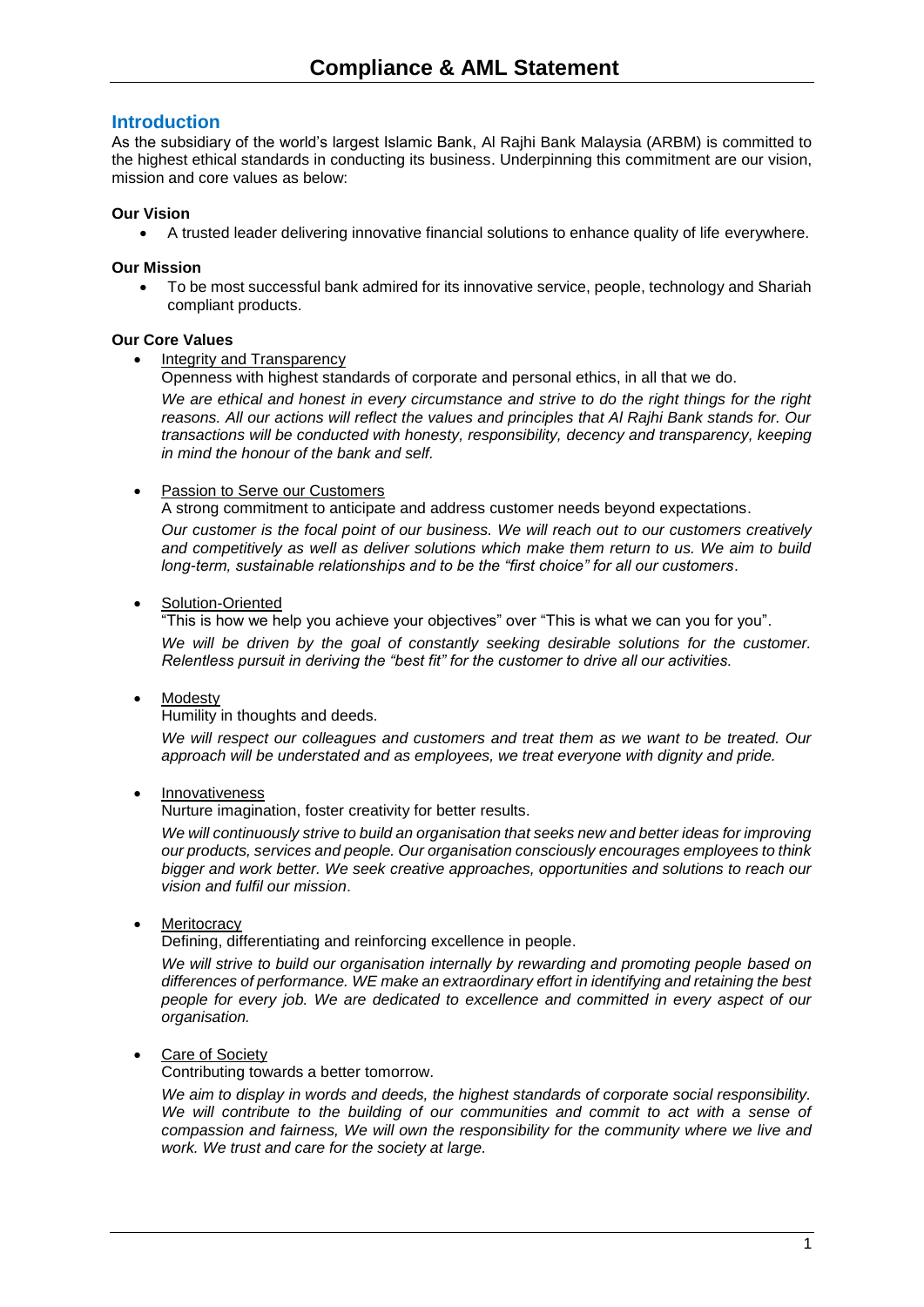### **Introduction**

As the subsidiary of the world's largest Islamic Bank, Al Rajhi Bank Malaysia (ARBM) is committed to the highest ethical standards in conducting its business. Underpinning this commitment are our vision, mission and core values as below:

### **Our Vision**

A trusted leader delivering innovative financial solutions to enhance quality of life everywhere.

#### **Our Mission**

 To be most successful bank admired for its innovative service, people, technology and Shariah compliant products.

### **Our Core Values**

Integrity and Transparency

Openness with highest standards of corporate and personal ethics, in all that we do.

*We are ethical and honest in every circumstance and strive to do the right things for the right reasons. All our actions will reflect the values and principles that Al Rajhi Bank stands for. Our transactions will be conducted with honesty, responsibility, decency and transparency, keeping in mind the honour of the bank and self.*

#### Passion to Serve our Customers

A strong commitment to anticipate and address customer needs beyond expectations.

*Our customer is the focal point of our business. We will reach out to our customers creatively and competitively as well as deliver solutions which make them return to us. We aim to build long-term, sustainable relationships and to be the "first choice" for all our customers*.

#### Solution-Oriented

"This is how we help you achieve your objectives" over "This is what we can you for you". *We will be driven by the goal of constantly seeking desirable solutions for the customer. Relentless pursuit in deriving the "best fit" for the customer to drive all our activities.*

### Modesty

Humility in thoughts and deeds.

*We will respect our colleagues and customers and treat them as we want to be treated. Our approach will be understated and as employees, we treat everyone with dignity and pride.*

### Innovativeness

Nurture imagination, foster creativity for better results.

*We will continuously strive to build an organisation that seeks new and better ideas for improving our products, services and people. Our organisation consciously encourages employees to think bigger and work better. We seek creative approaches, opportunities and solutions to reach our vision and fulfil our mission*.

**Meritocracy** 

Defining, differentiating and reinforcing excellence in people.

*We will strive to build our organisation internally by rewarding and promoting people based on differences of performance. WE make an extraordinary effort in identifying and retaining the best people for every job. We are dedicated to excellence and committed in every aspect of our organisation.*

#### Care of Society

Contributing towards a better tomorrow.

*We aim to display in words and deeds, the highest standards of corporate social responsibility. We will contribute to the building of our communities and commit to act with a sense of compassion and fairness, We will own the responsibility for the community where we live and work. We trust and care for the society at large.*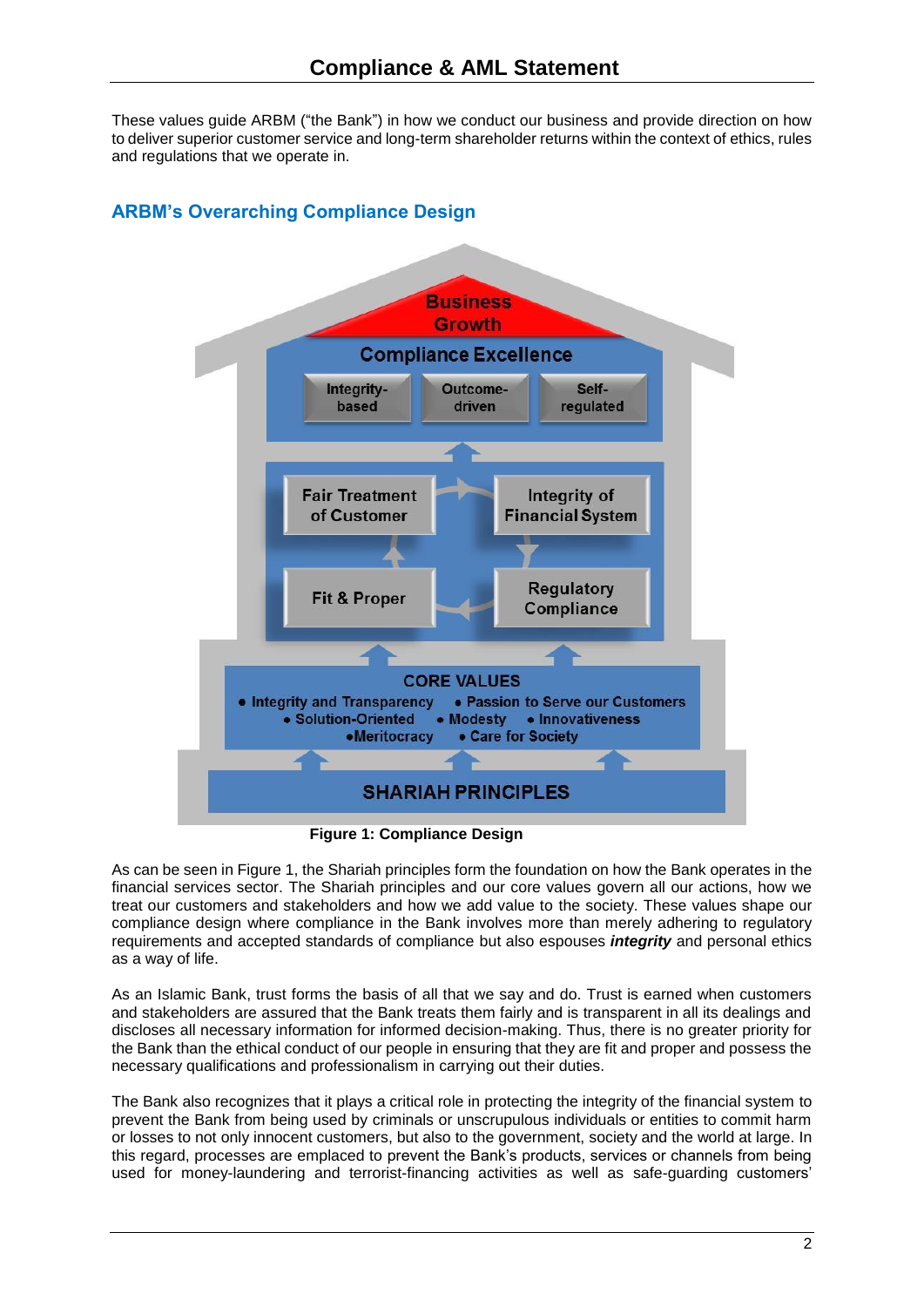These values guide ARBM ("the Bank") in how we conduct our business and provide direction on how to deliver superior customer service and long-term shareholder returns within the context of ethics, rules and regulations that we operate in.

# **ARBM's Overarching Compliance Design**



**Figure 1: Compliance Design**

As can be seen in Figure 1, the Shariah principles form the foundation on how the Bank operates in the financial services sector. The Shariah principles and our core values govern all our actions, how we treat our customers and stakeholders and how we add value to the society. These values shape our compliance design where compliance in the Bank involves more than merely adhering to regulatory requirements and accepted standards of compliance but also espouses *integrity* and personal ethics as a way of life.

As an Islamic Bank, trust forms the basis of all that we say and do. Trust is earned when customers and stakeholders are assured that the Bank treats them fairly and is transparent in all its dealings and discloses all necessary information for informed decision-making. Thus, there is no greater priority for the Bank than the ethical conduct of our people in ensuring that they are fit and proper and possess the necessary qualifications and professionalism in carrying out their duties.

The Bank also recognizes that it plays a critical role in protecting the integrity of the financial system to prevent the Bank from being used by criminals or unscrupulous individuals or entities to commit harm or losses to not only innocent customers, but also to the government, society and the world at large. In this regard, processes are emplaced to prevent the Bank's products, services or channels from being used for money-laundering and terrorist-financing activities as well as safe-guarding customers'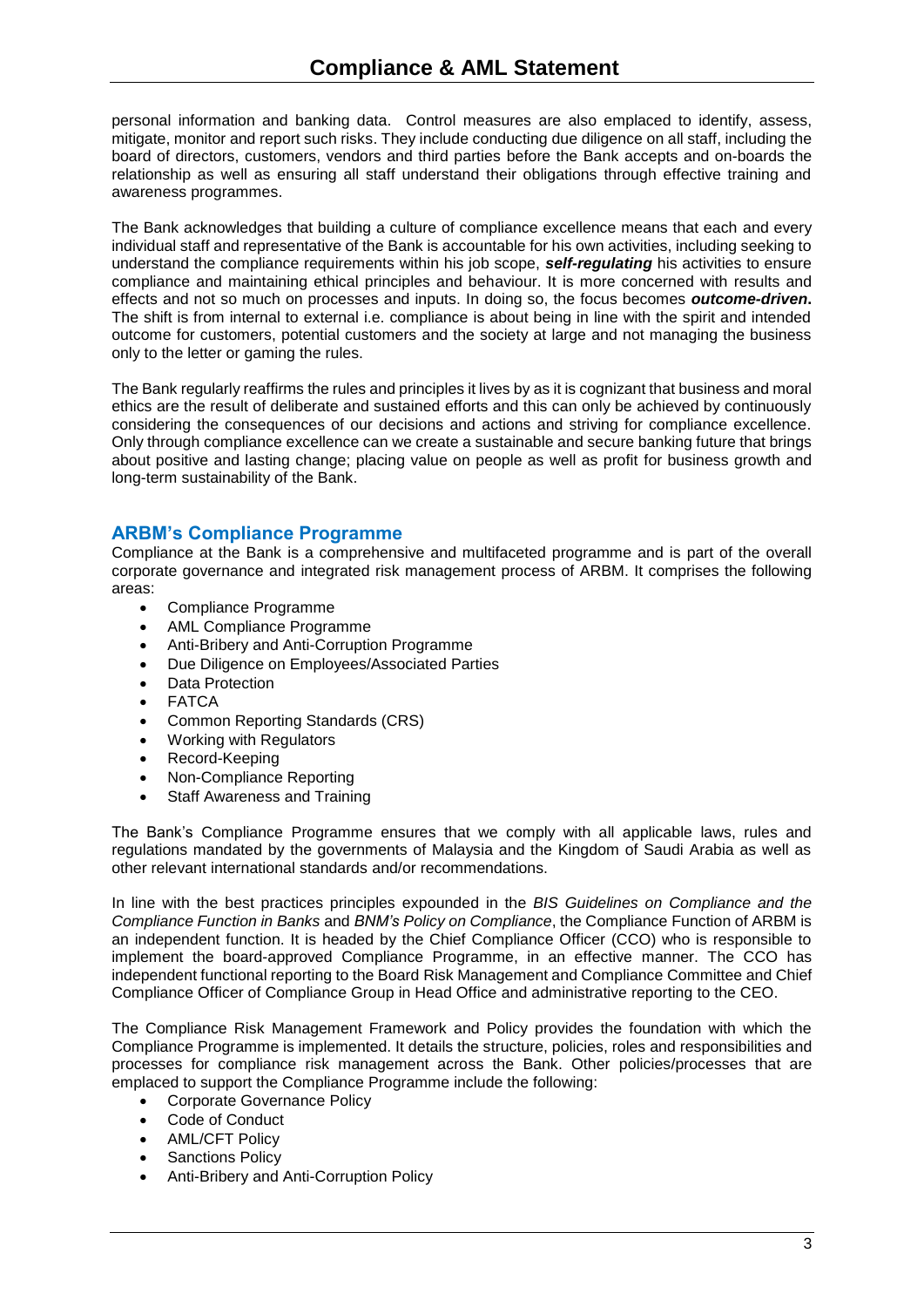personal information and banking data. Control measures are also emplaced to identify, assess, mitigate, monitor and report such risks. They include conducting due diligence on all staff, including the board of directors, customers, vendors and third parties before the Bank accepts and on-boards the relationship as well as ensuring all staff understand their obligations through effective training and awareness programmes.

The Bank acknowledges that building a culture of compliance excellence means that each and every individual staff and representative of the Bank is accountable for his own activities, including seeking to understand the compliance requirements within his job scope, *self-regulating* his activities to ensure compliance and maintaining ethical principles and behaviour. It is more concerned with results and effects and not so much on processes and inputs. In doing so, the focus becomes *outcome-driven***.** The shift is from internal to external i.e. compliance is about being in line with the spirit and intended outcome for customers, potential customers and the society at large and not managing the business only to the letter or gaming the rules.

The Bank regularly reaffirms the rules and principles it lives by as it is cognizant that business and moral ethics are the result of deliberate and sustained efforts and this can only be achieved by continuously considering the consequences of our decisions and actions and striving for compliance excellence. Only through compliance excellence can we create a sustainable and secure banking future that brings about positive and lasting change; placing value on people as well as profit for business growth and long-term sustainability of the Bank.

## **ARBM's Compliance Programme**

Compliance at the Bank is a comprehensive and multifaceted programme and is part of the overall corporate governance and integrated risk management process of ARBM. It comprises the following areas:

- Compliance Programme
- AML Compliance Programme
- Anti-Bribery and Anti-Corruption Programme
- Due Diligence on Employees/Associated Parties
- Data Protection
- FATCA
- Common Reporting Standards (CRS)
- Working with Regulators
- Record-Keeping
- Non-Compliance Reporting
- Staff Awareness and Training

The Bank's Compliance Programme ensures that we comply with all applicable laws, rules and regulations mandated by the governments of Malaysia and the Kingdom of Saudi Arabia as well as other relevant international standards and/or recommendations.

In line with the best practices principles expounded in the *BIS Guidelines on Compliance and the Compliance Function in Banks* and *BNM's Policy on Compliance*, the Compliance Function of ARBM is an independent function. It is headed by the Chief Compliance Officer (CCO) who is responsible to implement the board-approved Compliance Programme, in an effective manner. The CCO has independent functional reporting to the Board Risk Management and Compliance Committee and Chief Compliance Officer of Compliance Group in Head Office and administrative reporting to the CEO.

The Compliance Risk Management Framework and Policy provides the foundation with which the Compliance Programme is implemented. It details the structure, policies, roles and responsibilities and processes for compliance risk management across the Bank. Other policies/processes that are emplaced to support the Compliance Programme include the following:

- Corporate Governance Policy
- Code of Conduct
- AML/CFT Policy
- Sanctions Policy
- Anti-Bribery and Anti-Corruption Policy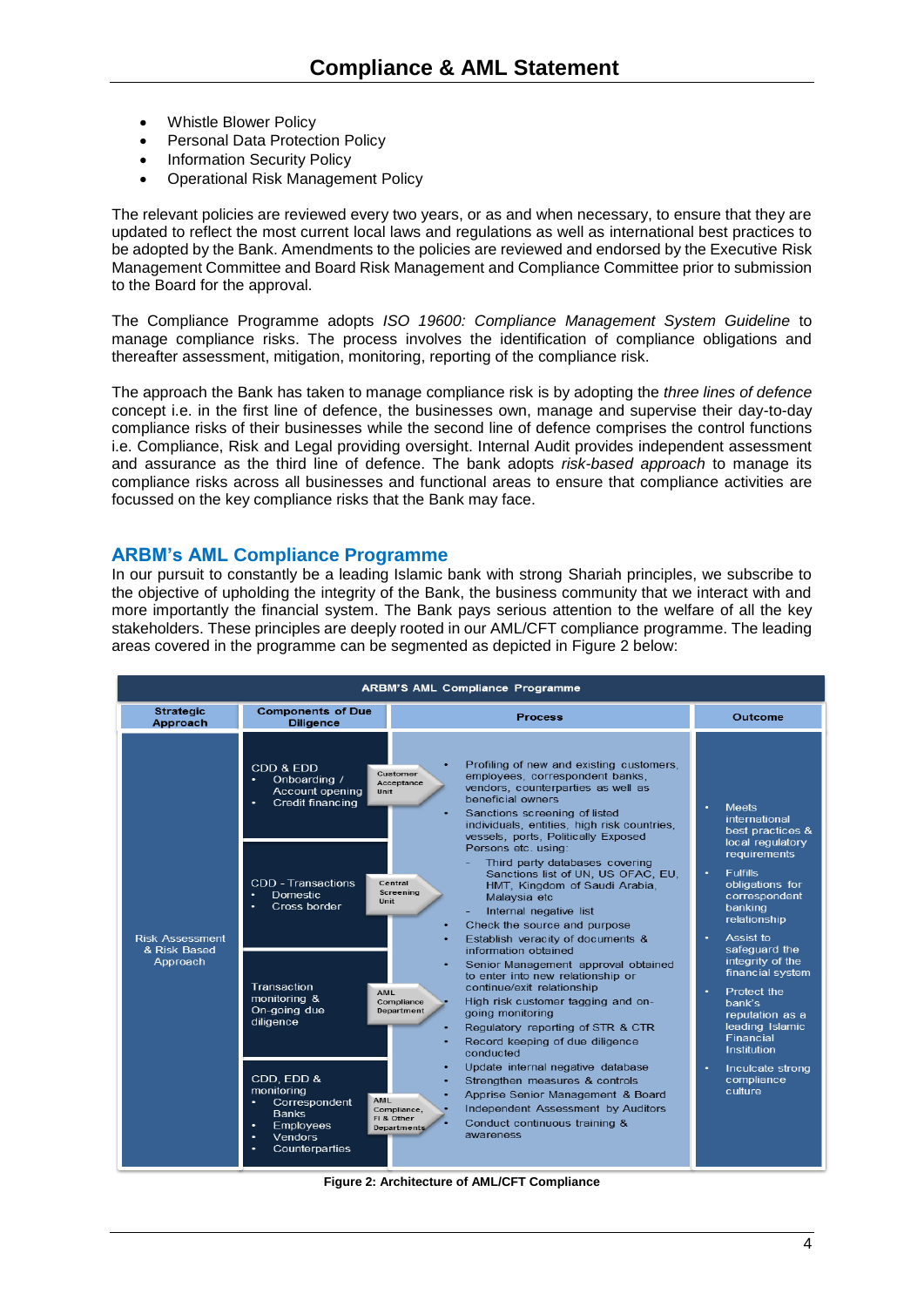- Whistle Blower Policy
- Personal Data Protection Policy
- Information Security Policy
- Operational Risk Management Policy

The relevant policies are reviewed every two years, or as and when necessary, to ensure that they are updated to reflect the most current local laws and regulations as well as international best practices to be adopted by the Bank. Amendments to the policies are reviewed and endorsed by the Executive Risk Management Committee and Board Risk Management and Compliance Committee prior to submission to the Board for the approval.

The Compliance Programme adopts *ISO 19600: Compliance Management System Guideline* to manage compliance risks. The process involves the identification of compliance obligations and thereafter assessment, mitigation, monitoring, reporting of the compliance risk.

The approach the Bank has taken to manage compliance risk is by adopting the *three lines of defence* concept i.e. in the first line of defence, the businesses own, manage and supervise their day-to-day compliance risks of their businesses while the second line of defence comprises the control functions i.e. Compliance, Risk and Legal providing oversight. Internal Audit provides independent assessment and assurance as the third line of defence. The bank adopts *risk-based approach* to manage its compliance risks across all businesses and functional areas to ensure that compliance activities are focussed on the key compliance risks that the Bank may face.

### **ARBM's AML Compliance Programme**

In our pursuit to constantly be a leading Islamic bank with strong Shariah principles, we subscribe to the objective of upholding the integrity of the Bank, the business community that we interact with and more importantly the financial system. The Bank pays serious attention to the welfare of all the key stakeholders. These principles are deeply rooted in our AML/CFT compliance programme. The leading areas covered in the programme can be segmented as depicted in Figure 2 below:

| <b>ARBM'S AML Compliance Programme</b>             |                                                                                                                                                                                                                                                                                                                                                                                |                                                                                                                                                                                                                                                                                                                                                                                                                                                                                                                                                                                                                                                                                                                                                                                                                                                                                                                                                                                                                                                                                                                                       |                                                                                                                                                                                                                                                                                                                                                                                                                       |
|----------------------------------------------------|--------------------------------------------------------------------------------------------------------------------------------------------------------------------------------------------------------------------------------------------------------------------------------------------------------------------------------------------------------------------------------|---------------------------------------------------------------------------------------------------------------------------------------------------------------------------------------------------------------------------------------------------------------------------------------------------------------------------------------------------------------------------------------------------------------------------------------------------------------------------------------------------------------------------------------------------------------------------------------------------------------------------------------------------------------------------------------------------------------------------------------------------------------------------------------------------------------------------------------------------------------------------------------------------------------------------------------------------------------------------------------------------------------------------------------------------------------------------------------------------------------------------------------|-----------------------------------------------------------------------------------------------------------------------------------------------------------------------------------------------------------------------------------------------------------------------------------------------------------------------------------------------------------------------------------------------------------------------|
| <b>Strategic</b><br>Approach                       | <b>Components of Due</b><br><b>Diligence</b>                                                                                                                                                                                                                                                                                                                                   | <b>Process</b>                                                                                                                                                                                                                                                                                                                                                                                                                                                                                                                                                                                                                                                                                                                                                                                                                                                                                                                                                                                                                                                                                                                        | Outcome                                                                                                                                                                                                                                                                                                                                                                                                               |
| <b>Risk Assessment</b><br>& Risk Based<br>Approach | CDD & EDD<br>Onboarding /<br>Account opening<br>Unit<br><b>Credit financing</b><br>٠<br><b>CDD - Transactions</b><br><b>Domestic</b><br>Unit<br>Cross border<br>Transaction<br>AML.<br>monitoring &<br>On-going due<br>diligence<br>$CDD$ , $EDD$ &<br>monitoring<br><b>AML</b><br>Correspondent<br>٠<br><b>Banks</b><br>Employees<br>٠<br>Vendors<br>٠<br>Counterparties<br>٠ | Profiling of new and existing customers.<br>Customer<br>employees, correspondent banks,<br>Acceptance<br>vendors, counterparties as well as<br>beneficial owners<br>Sanctions screening of listed<br>individuals, entities, high risk countries,<br>vessels, ports, Politically Exposed<br>Persons etc. using:<br>Third party databases covering<br>Sanctions list of UN, US OFAC, EU,<br>Central<br>HMT, Kingdom of Saudi Arabia,<br>Screening<br>Malaysia etc<br>Internal negative list<br>Check the source and purpose<br>Establish veracity of documents &<br>information obtained<br>Senior Management approval obtained<br>to enter into new relationship or<br>continue/exit_relationship<br>High risk customer tagging and on-<br>Compliance<br><b>Department</b><br>going monitoring<br>Regulatory reporting of STR & CTR<br>Record keeping of due diligence<br>conducted<br>Update internal negative database<br>Strengthen measures & controls<br>Apprise Senior Management & Board<br>Independent Assessment by Auditors<br>Compliance.<br>FI & Other<br>Conduct continuous training &<br><b>Departments</b><br>awareness | <b>Meets</b><br>٠<br>international<br>best practices &<br>local regulatory<br>requirements<br><b>Fulfills</b><br>٠<br>obligations for<br>correspondent<br>banking<br>relationship<br><b>Assist to</b><br>٠<br>safequard the<br>integrity of the<br>financial system<br>Protect the<br>٠<br>bank's<br>reputation as a<br>leading Islamic<br>Financial<br>Institution<br>Inculcate strong<br>٠<br>compliance<br>culture |

**Figure 2: Architecture of AML/CFT Compliance**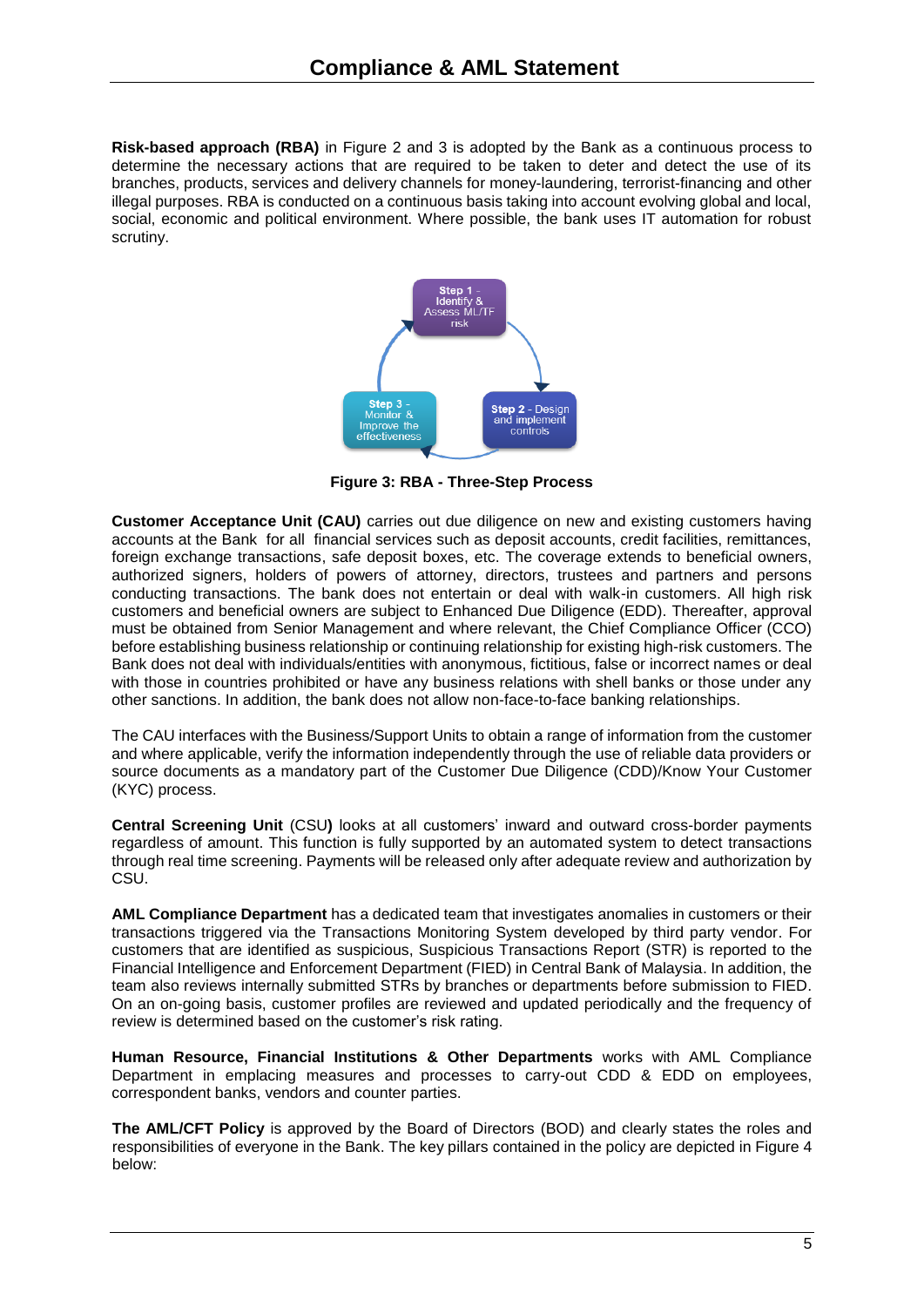**Risk-based approach (RBA)** in Figure 2 and 3 is adopted by the Bank as a continuous process to determine the necessary actions that are required to be taken to deter and detect the use of its branches, products, services and delivery channels for money-laundering, terrorist-financing and other illegal purposes. RBA is conducted on a continuous basis taking into account evolving global and local, social, economic and political environment. Where possible, the bank uses IT automation for robust scrutiny.



**Figure 3: RBA - Three-Step Process**

**Customer Acceptance Unit (CAU)** carries out due diligence on new and existing customers having accounts at the Bank for all financial services such as deposit accounts, credit facilities, remittances, foreign exchange transactions, safe deposit boxes, etc. The coverage extends to beneficial owners, authorized signers, holders of powers of attorney, directors, trustees and partners and persons conducting transactions. The bank does not entertain or deal with walk-in customers. All high risk customers and beneficial owners are subject to Enhanced Due Diligence (EDD). Thereafter, approval must be obtained from Senior Management and where relevant, the Chief Compliance Officer (CCO) before establishing business relationship or continuing relationship for existing high-risk customers. The Bank does not deal with individuals/entities with anonymous, fictitious, false or incorrect names or deal with those in countries prohibited or have any business relations with shell banks or those under any other sanctions. In addition, the bank does not allow non-face-to-face banking relationships.

The CAU interfaces with the Business/Support Units to obtain a range of information from the customer and where applicable, verify the information independently through the use of reliable data providers or source documents as a mandatory part of the Customer Due Diligence (CDD)/Know Your Customer (KYC) process.

**Central Screening Unit** (CSU**)** looks at all customers' inward and outward cross-border payments regardless of amount. This function is fully supported by an automated system to detect transactions through real time screening. Payments will be released only after adequate review and authorization by CSU.

**AML Compliance Department** has a dedicated team that investigates anomalies in customers or their transactions triggered via the Transactions Monitoring System developed by third party vendor. For customers that are identified as suspicious, Suspicious Transactions Report (STR) is reported to the Financial Intelligence and Enforcement Department (FIED) in Central Bank of Malaysia. In addition, the team also reviews internally submitted STRs by branches or departments before submission to FIED. On an on-going basis, customer profiles are reviewed and updated periodically and the frequency of review is determined based on the customer's risk rating.

**Human Resource, Financial Institutions & Other Departments** works with AML Compliance Department in emplacing measures and processes to carry-out CDD & EDD on employees, correspondent banks, vendors and counter parties.

**The AML/CFT Policy** is approved by the Board of Directors (BOD) and clearly states the roles and responsibilities of everyone in the Bank. The key pillars contained in the policy are depicted in Figure 4 below: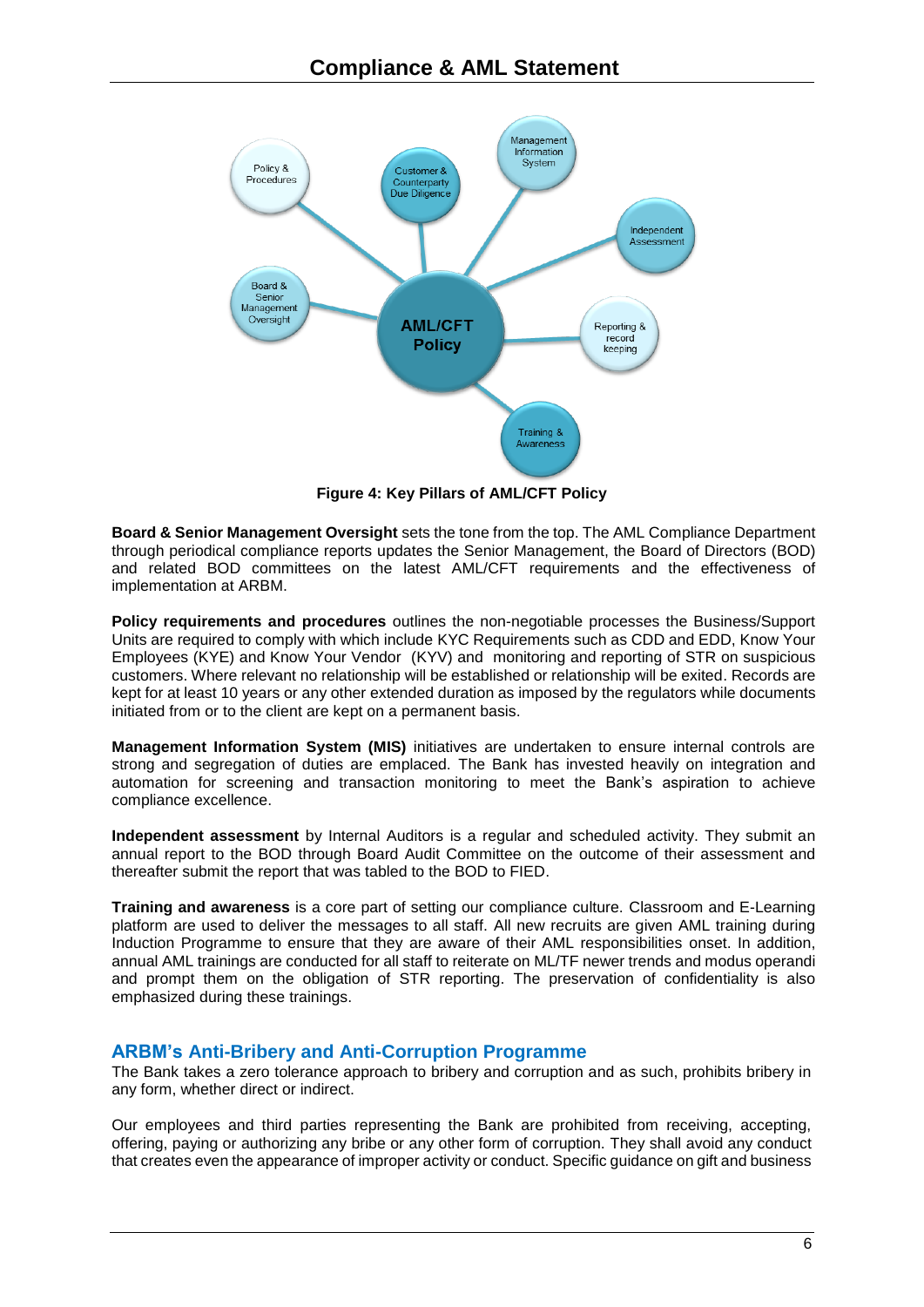

**Figure 4: Key Pillars of AML/CFT Policy**

**Board & Senior Management Oversight** sets the tone from the top. The AML Compliance Department through periodical compliance reports updates the Senior Management, the Board of Directors (BOD) and related BOD committees on the latest AML/CFT requirements and the effectiveness of implementation at ARBM.

**Policy requirements and procedures** outlines the non-negotiable processes the Business/Support Units are required to comply with which include KYC Requirements such as CDD and EDD, Know Your Employees (KYE) and Know Your Vendor (KYV) and monitoring and reporting of STR on suspicious customers. Where relevant no relationship will be established or relationship will be exited. Records are kept for at least 10 years or any other extended duration as imposed by the regulators while documents initiated from or to the client are kept on a permanent basis.

**Management Information System (MIS)** initiatives are undertaken to ensure internal controls are strong and segregation of duties are emplaced. The Bank has invested heavily on integration and automation for screening and transaction monitoring to meet the Bank's aspiration to achieve compliance excellence.

**Independent assessment** by Internal Auditors is a regular and scheduled activity. They submit an annual report to the BOD through Board Audit Committee on the outcome of their assessment and thereafter submit the report that was tabled to the BOD to FIED.

**Training and awareness** is a core part of setting our compliance culture. Classroom and E-Learning platform are used to deliver the messages to all staff. All new recruits are given AML training during Induction Programme to ensure that they are aware of their AML responsibilities onset. In addition, annual AML trainings are conducted for all staff to reiterate on ML/TF newer trends and modus operandi and prompt them on the obligation of STR reporting. The preservation of confidentiality is also emphasized during these trainings.

## **ARBM's Anti-Bribery and Anti-Corruption Programme**

The Bank takes a zero tolerance approach to bribery and corruption and as such, prohibits bribery in any form, whether direct or indirect.

Our employees and third parties representing the Bank are prohibited from receiving, accepting, offering, paying or authorizing any bribe or any other form of corruption. They shall avoid any conduct that creates even the appearance of improper activity or conduct. Specific guidance on gift and business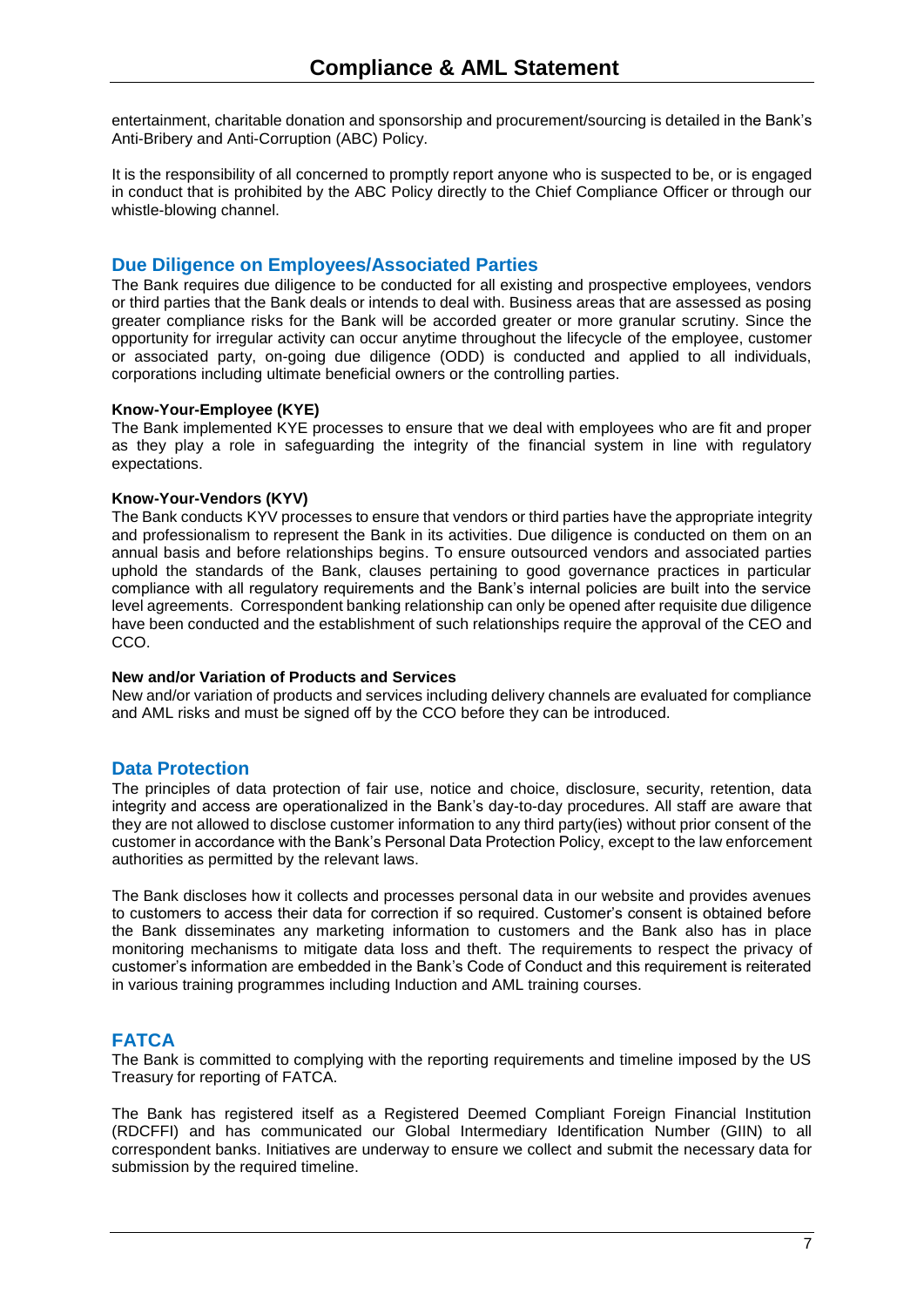entertainment, charitable donation and sponsorship and procurement/sourcing is detailed in the Bank's Anti-Bribery and Anti-Corruption (ABC) Policy.

It is the responsibility of all concerned to promptly report anyone who is suspected to be, or is engaged in conduct that is prohibited by the ABC Policy directly to the Chief Compliance Officer or through our whistle-blowing channel.

### **Due Diligence on Employees/Associated Parties**

The Bank requires due diligence to be conducted for all existing and prospective employees, vendors or third parties that the Bank deals or intends to deal with. Business areas that are assessed as posing greater compliance risks for the Bank will be accorded greater or more granular scrutiny. Since the opportunity for irregular activity can occur anytime throughout the lifecycle of the employee, customer or associated party, on-going due diligence (ODD) is conducted and applied to all individuals, corporations including ultimate beneficial owners or the controlling parties.

#### **Know-Your-Employee (KYE)**

The Bank implemented KYE processes to ensure that we deal with employees who are fit and proper as they play a role in safeguarding the integrity of the financial system in line with regulatory expectations.

#### **Know-Your-Vendors (KYV)**

The Bank conducts KYV processes to ensure that vendors or third parties have the appropriate integrity and professionalism to represent the Bank in its activities. Due diligence is conducted on them on an annual basis and before relationships begins. To ensure outsourced vendors and associated parties uphold the standards of the Bank, clauses pertaining to good governance practices in particular compliance with all regulatory requirements and the Bank's internal policies are built into the service level agreements. Correspondent banking relationship can only be opened after requisite due diligence have been conducted and the establishment of such relationships require the approval of the CEO and CCO.

#### **New and/or Variation of Products and Services**

New and/or variation of products and services including delivery channels are evaluated for compliance and AML risks and must be signed off by the CCO before they can be introduced.

### **Data Protection**

The principles of data protection of fair use, notice and choice, disclosure, security, retention, data integrity and access are operationalized in the Bank's day-to-day procedures. All staff are aware that they are not allowed to disclose customer information to any third party(ies) without prior consent of the customer in accordance with the Bank's Personal Data Protection Policy, except to the law enforcement authorities as permitted by the relevant laws.

The Bank discloses how it collects and processes personal data in our website and provides avenues to customers to access their data for correction if so required. Customer's consent is obtained before the Bank disseminates any marketing information to customers and the Bank also has in place monitoring mechanisms to mitigate data loss and theft. The requirements to respect the privacy of customer's information are embedded in the Bank's Code of Conduct and this requirement is reiterated in various training programmes including Induction and AML training courses.

### **FATCA**

The Bank is committed to complying with the reporting requirements and timeline imposed by the US Treasury for reporting of FATCA.

The Bank has registered itself as a Registered Deemed Compliant Foreign Financial Institution (RDCFFI) and has communicated our Global Intermediary Identification Number (GIIN) to all correspondent banks. Initiatives are underway to ensure we collect and submit the necessary data for submission by the required timeline.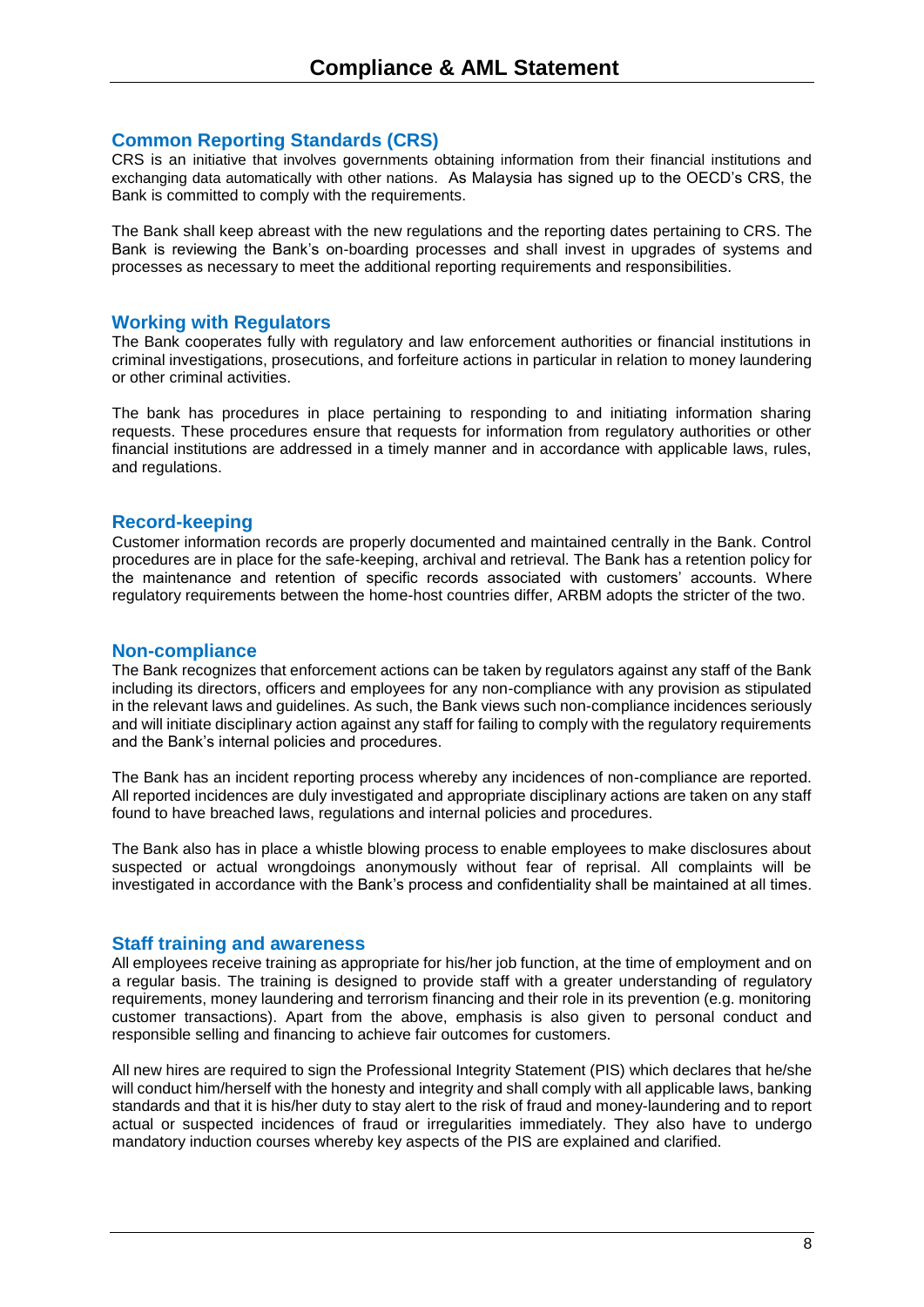### **Common Reporting Standards (CRS)**

CRS is an initiative that involves governments obtaining information from their financial institutions and exchanging data automatically with other nations. As Malaysia has signed up to the OECD's CRS, the Bank is committed to comply with the requirements.

The Bank shall keep abreast with the new regulations and the reporting dates pertaining to CRS. The Bank is reviewing the Bank's on-boarding processes and shall invest in upgrades of systems and processes as necessary to meet the additional reporting requirements and responsibilities.

#### **Working with Regulators**

The Bank cooperates fully with regulatory and law enforcement authorities or financial institutions in criminal investigations, prosecutions, and forfeiture actions in particular in relation to money laundering or other criminal activities.

The bank has procedures in place pertaining to responding to and initiating information sharing requests. These procedures ensure that requests for information from regulatory authorities or other financial institutions are addressed in a timely manner and in accordance with applicable laws, rules, and regulations.

### **Record-keeping**

Customer information records are properly documented and maintained centrally in the Bank. Control procedures are in place for the safe-keeping, archival and retrieval. The Bank has a retention policy for the maintenance and retention of specific records associated with customers' accounts. Where regulatory requirements between the home-host countries differ, ARBM adopts the stricter of the two.

#### **Non-compliance**

The Bank recognizes that enforcement actions can be taken by regulators against any staff of the Bank including its directors, officers and employees for any non-compliance with any provision as stipulated in the relevant laws and guidelines. As such, the Bank views such non-compliance incidences seriously and will initiate disciplinary action against any staff for failing to comply with the regulatory requirements and the Bank's internal policies and procedures.

The Bank has an incident reporting process whereby any incidences of non-compliance are reported. All reported incidences are duly investigated and appropriate disciplinary actions are taken on any staff found to have breached laws, regulations and internal policies and procedures.

The Bank also has in place a whistle blowing process to enable employees to make disclosures about suspected or actual wrongdoings anonymously without fear of reprisal. All complaints will be investigated in accordance with the Bank's process and confidentiality shall be maintained at all times.

#### **Staff training and awareness**

All employees receive training as appropriate for his/her job function, at the time of employment and on a regular basis. The training is designed to provide staff with a greater understanding of regulatory requirements, money laundering and terrorism financing and their role in its prevention (e.g. monitoring customer transactions). Apart from the above, emphasis is also given to personal conduct and responsible selling and financing to achieve fair outcomes for customers.

All new hires are required to sign the Professional Integrity Statement (PIS) which declares that he/she will conduct him/herself with the honesty and integrity and shall comply with all applicable laws, banking standards and that it is his/her duty to stay alert to the risk of fraud and money-laundering and to report actual or suspected incidences of fraud or irregularities immediately. They also have to undergo mandatory induction courses whereby key aspects of the PIS are explained and clarified.